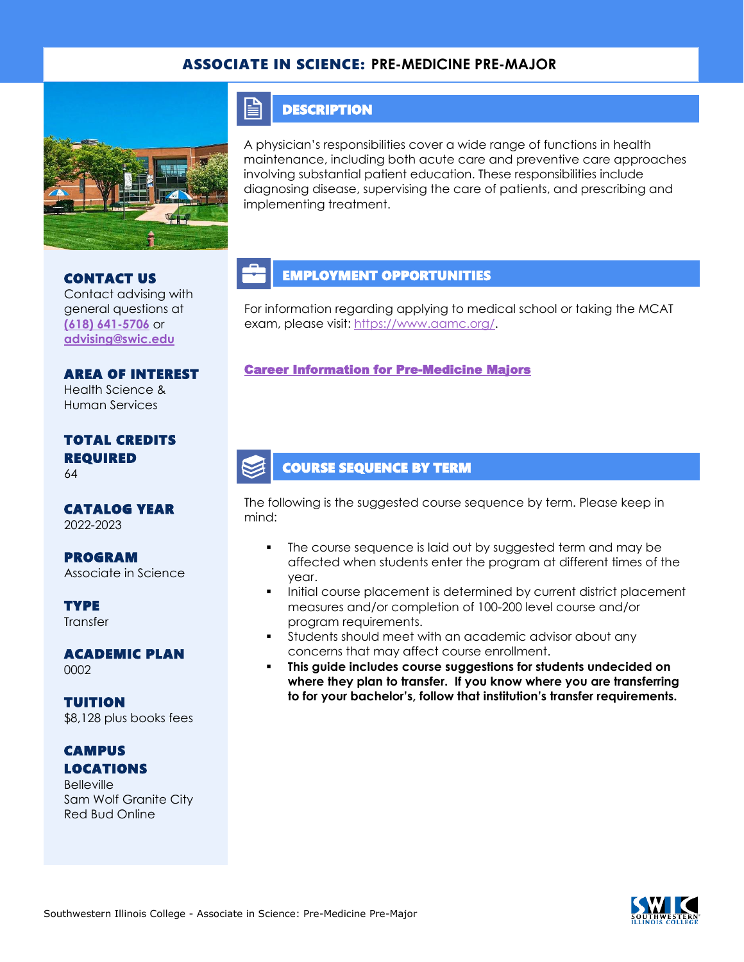## ASSOCIATE IN SCIENCE: **PRE-MEDICINE PRE-MAJOR**



### **DESCRIPTION**

E

A physician's responsibilities cover a wide range of functions in health maintenance, including both acute care and preventive care approaches involving substantial patient education. These responsibilities include diagnosing disease, supervising the care of patients, and prescribing and implementing treatment.

# CONTACT US

#### Contact advising with general questions at **[\(618\) 641-5706](tel:%20(618)%20641-5706)** or **[advising@swic.edu](mailto:advising@swic.edu)**

AREA OF INTEREST Health Science & Human Services

#### TOTAL CREDITS REQUIRED 64

CATALOG YEAR 2022-2023

PROGRAM Associate in Science

**TYPE Transfer** 

ACADEMIC PLAN 0002

TUITION \$8,128 plus books fees

## **CAMPUS** LOCATIONS

**Belleville** Sam Wolf Granite City Red Bud Online

# EMPLOYMENT OPPORTUNITIES

For information regarding applying to medical school or taking the MCAT exam, please visit: [https://www.aamc.org/.](https://www.aamc.org/)

#### [Career Information for Pre-Medicine Majors](https://www.onetonline.org/find/quick?s=pre+medicine)

### COURSE SEQUENCE BY TERM

The following is the suggested course sequence by term. Please keep in mind:

- The course sequence is laid out by suggested term and may be affected when students enter the program at different times of the year.
- Initial course placement is determined by current district placement measures and/or completion of 100-200 level course and/or program requirements.
- **•** Students should meet with an academic advisor about any concerns that may affect course enrollment.
- **This guide includes course suggestions for students undecided on where they plan to transfer. If you know where you are transferring to for your bachelor's, follow that institution's transfer requirements.**